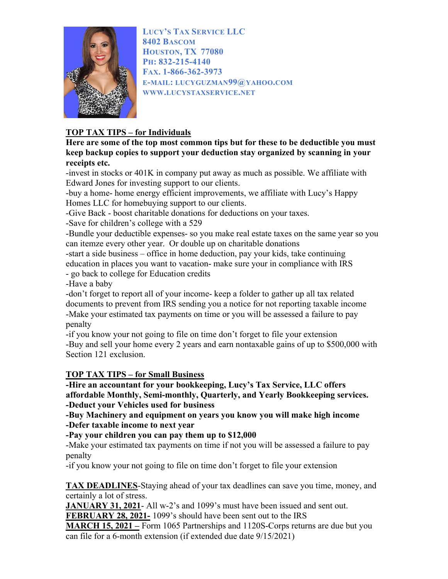

LUCY'S TAX SERVICE LLC 8402 BASCOM HOUSTON, TX 77080 PH: 832-215-4140 FAX. 1-866-362-3973 E-MAIL: LUCYGUZMAN99@YAHOO.COM WWW.LUCYSTAXSERVICE.NET

## TOP TAX TIPS – for Individuals

Here are some of the top most common tips but for these to be deductible you must keep backup copies to support your deduction stay organized by scanning in your receipts etc.

-invest in stocks or 401K in company put away as much as possible. We affiliate with Edward Jones for investing support to our clients.

-buy a home- home energy efficient improvements, we affiliate with Lucy's Happy Homes LLC for homebuying support to our clients.

-Give Back - boost charitable donations for deductions on your taxes.

-Save for children's college with a 529

-Bundle your deductible expenses- so you make real estate taxes on the same year so you can itemze every other year. Or double up on charitable donations

-start a side business – office in home deduction, pay your kids, take continuing education in places you want to vacation- make sure your in compliance with IRS - go back to college for Education credits

-Have a baby

-don't forget to report all of your income- keep a folder to gather up all tax related documents to prevent from IRS sending you a notice for not reporting taxable income -Make your estimated tax payments on time or you will be assessed a failure to pay penalty

-if you know your not going to file on time don't forget to file your extension -Buy and sell your home every 2 years and earn nontaxable gains of up to \$500,000 with Section 121 exclusion.

## TOP TAX TIPS – for Small Business

-Hire an accountant for your bookkeeping, Lucy's Tax Service, LLC offers affordable Monthly, Semi-monthly, Quarterly, and Yearly Bookkeeping services. -Deduct your Vehicles used for business

-Buy Machinery and equipment on years you know you will make high income -Defer taxable income to next year

-Pay your children you can pay them up to \$12,000

-Make your estimated tax payments on time if not you will be assessed a failure to pay penalty

-if you know your not going to file on time don't forget to file your extension

TAX DEADLINES-Staying ahead of your tax deadlines can save you time, money, and certainly a lot of stress.

**JANUARY 31, 2021**-All w-2's and 1099's must have been issued and sent out.

FEBRUARY 28, 2021- 1099's should have been sent out to the IRS

MARCH 15, 2021 – Form 1065 Partnerships and 1120S-Corps returns are due but you can file for a 6-month extension (if extended due date 9/15/2021)